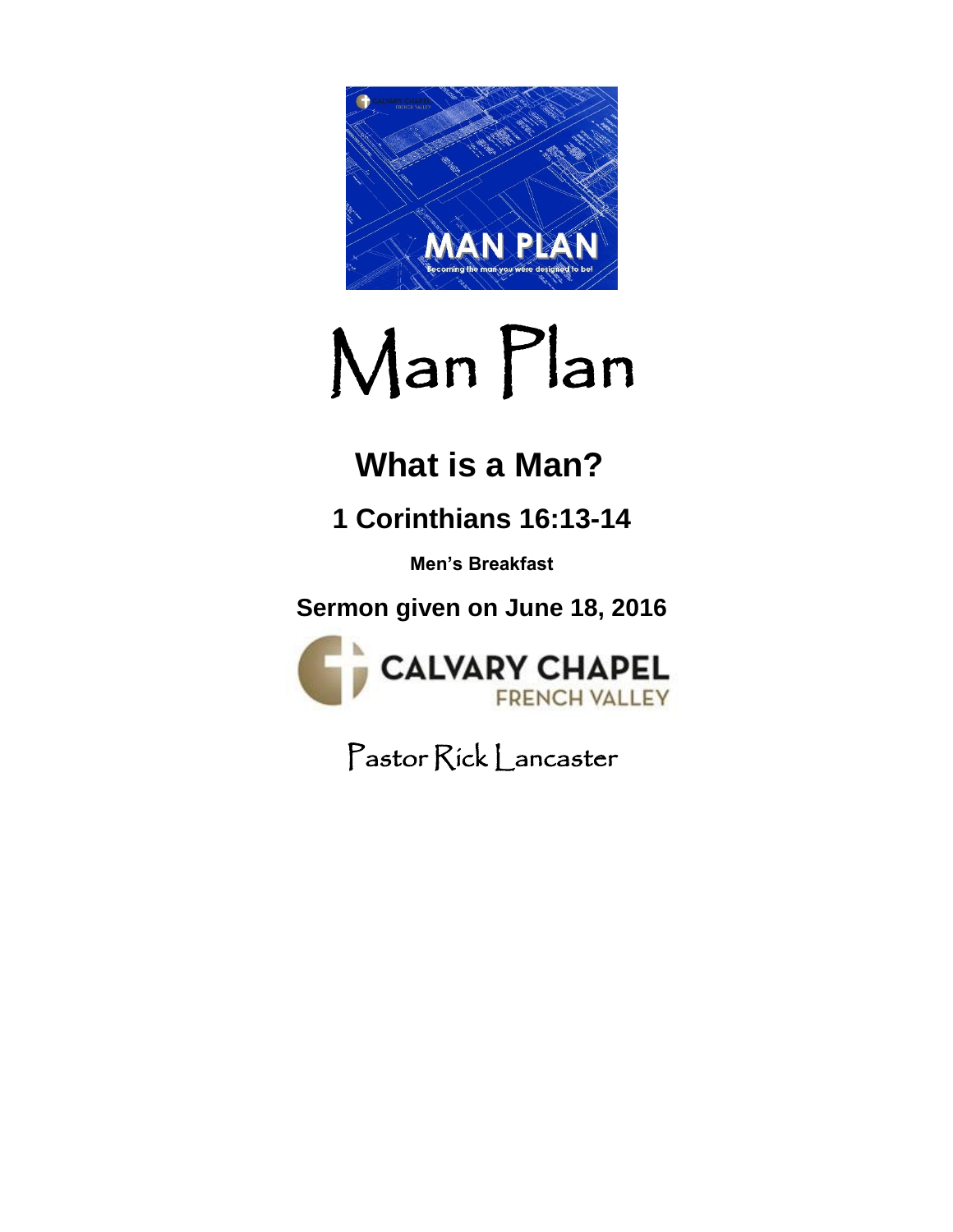

# Man Plan

## **What is a Man?**

## **1 Corinthians 16:13-14**

**Men's Breakfast**

**Sermon given on June 18, 2016**



Pastor Rick Lancaster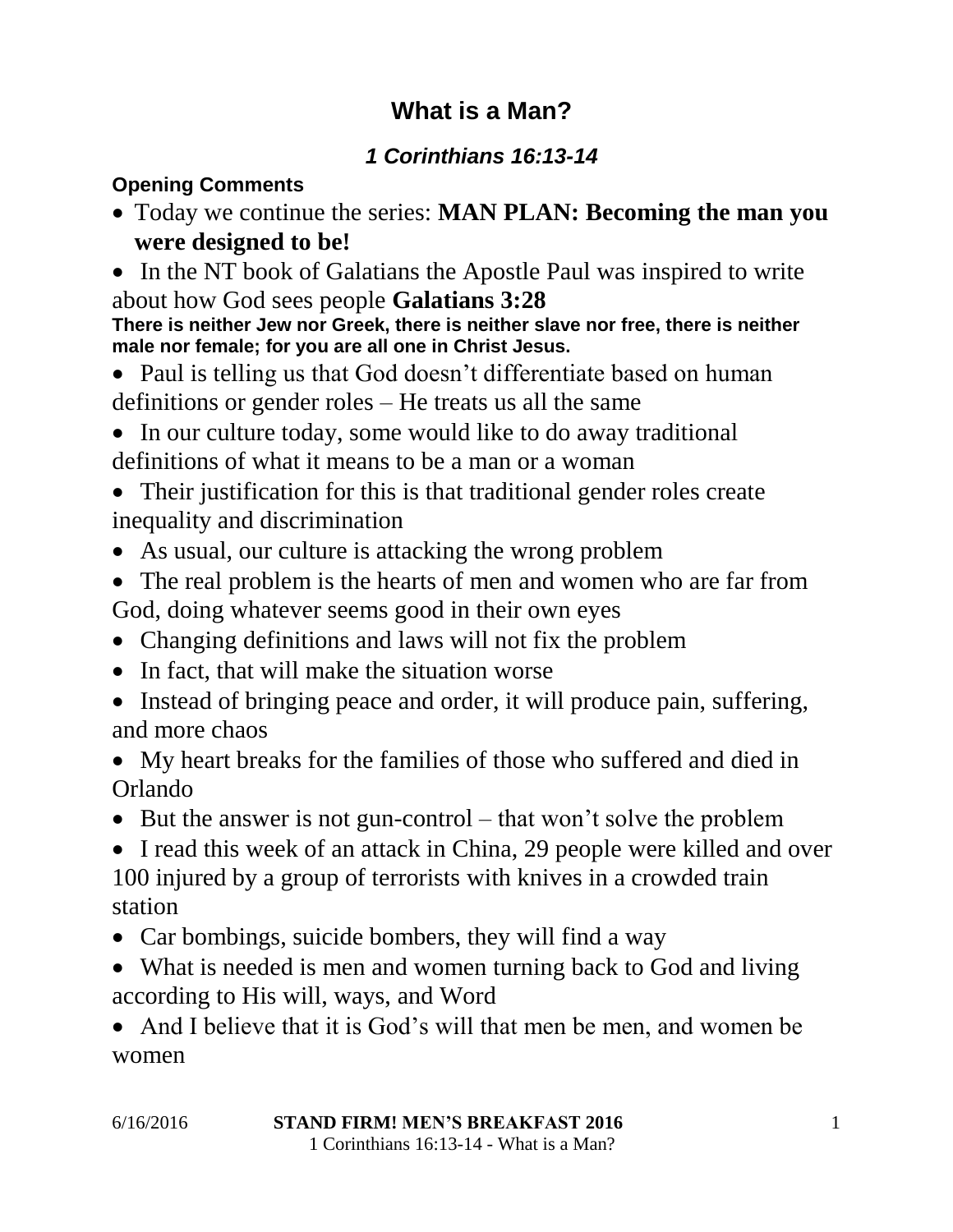#### **What is a Man?**

#### *1 Corinthians 16:13-14*

#### **Opening Comments**

- Today we continue the series: **MAN PLAN: Becoming the man you were designed to be!**
- In the NT book of Galatians the Apostle Paul was inspired to write about how God sees people **Galatians 3:28**

**There is neither Jew nor Greek, there is neither slave nor free, there is neither male nor female; for you are all one in Christ Jesus.**

- Paul is telling us that God doesn't differentiate based on human definitions or gender roles – He treats us all the same
- In our culture today, some would like to do away traditional definitions of what it means to be a man or a woman
- Their justification for this is that traditional gender roles create inequality and discrimination
- As usual, our culture is attacking the wrong problem
- The real problem is the hearts of men and women who are far from God, doing whatever seems good in their own eyes
- Changing definitions and laws will not fix the problem
- In fact, that will make the situation worse
- Instead of bringing peace and order, it will produce pain, suffering, and more chaos
- My heart breaks for the families of those who suffered and died in Orlando
- $\bullet$  But the answer is not gun-control that won't solve the problem

• I read this week of an attack in China, 29 people were killed and over 100 injured by a group of terrorists with knives in a crowded train station

- Car bombings, suicide bombers, they will find a way
- What is needed is men and women turning back to God and living according to His will, ways, and Word

• And I believe that it is God's will that men be men, and women be women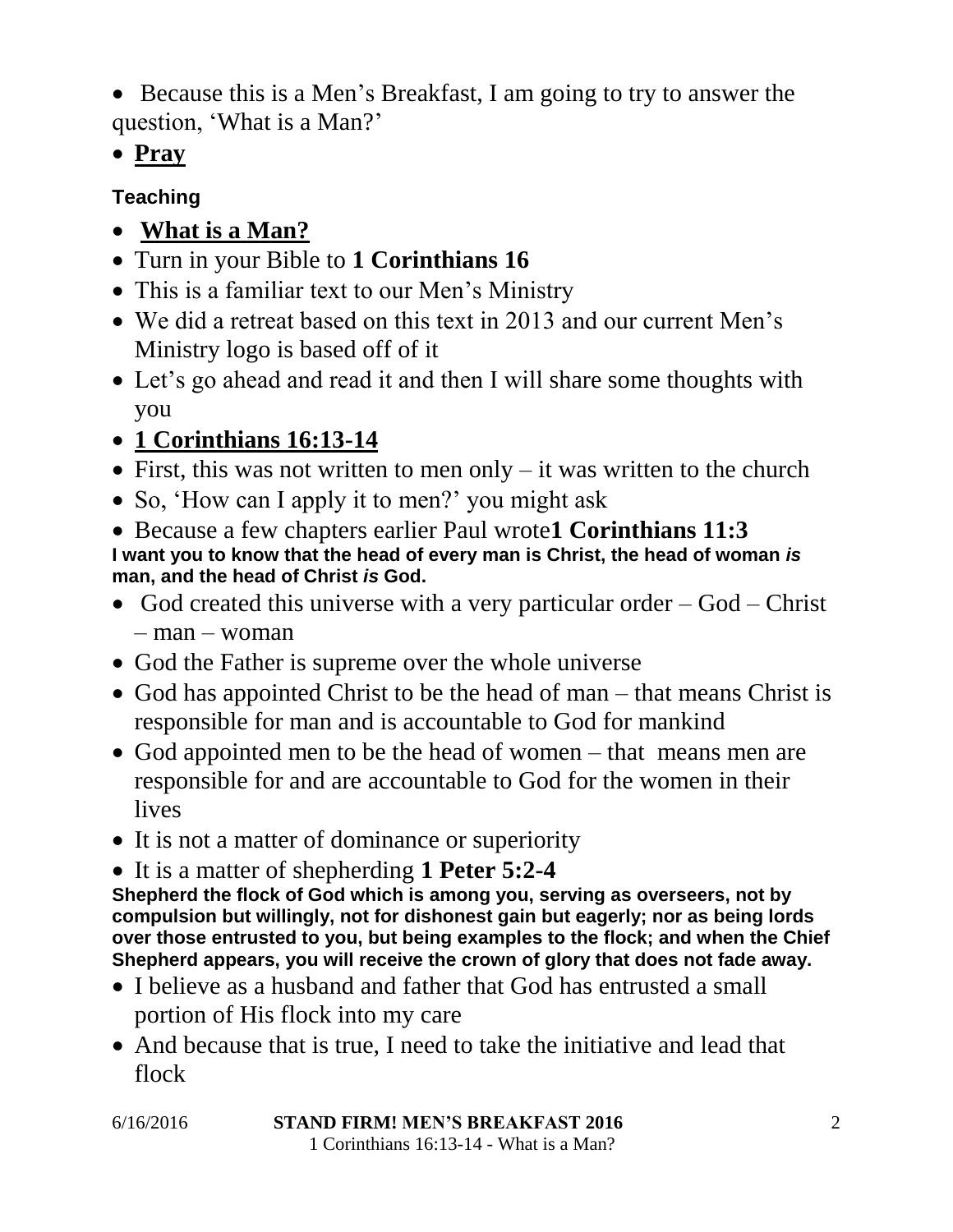Because this is a Men's Breakfast, I am going to try to answer the question, 'What is a Man?'

**Pray**

#### **Teaching**

- **What is a Man?**
- Turn in your Bible to **1 Corinthians 16**
- This is a familiar text to our Men's Ministry
- We did a retreat based on this text in 2013 and our current Men's Ministry logo is based off of it
- Let's go ahead and read it and then I will share some thoughts with you

### **1 Corinthians 16:13-14**

- First, this was not written to men only  $-$  it was written to the church
- So, 'How can I apply it to men?' you might ask
- Because a few chapters earlier Paul wrote**1 Corinthians 11:3 I want you to know that the head of every man is Christ, the head of woman** *is* **man, and the head of Christ** *is* **God.**
- God created this universe with a very particular order  $-$  God  $-$  Christ – man – woman
- God the Father is supreme over the whole universe
- God has appointed Christ to be the head of man that means Christ is responsible for man and is accountable to God for mankind
- God appointed men to be the head of women that means men are responsible for and are accountable to God for the women in their lives
- It is not a matter of dominance or superiority
- It is a matter of shepherding **1 Peter 5:2-4**

**Shepherd the flock of God which is among you, serving as overseers, not by compulsion but willingly, not for dishonest gain but eagerly; nor as being lords over those entrusted to you, but being examples to the flock; and when the Chief Shepherd appears, you will receive the crown of glory that does not fade away.**

- I believe as a husband and father that God has entrusted a small portion of His flock into my care
- And because that is true, I need to take the initiative and lead that flock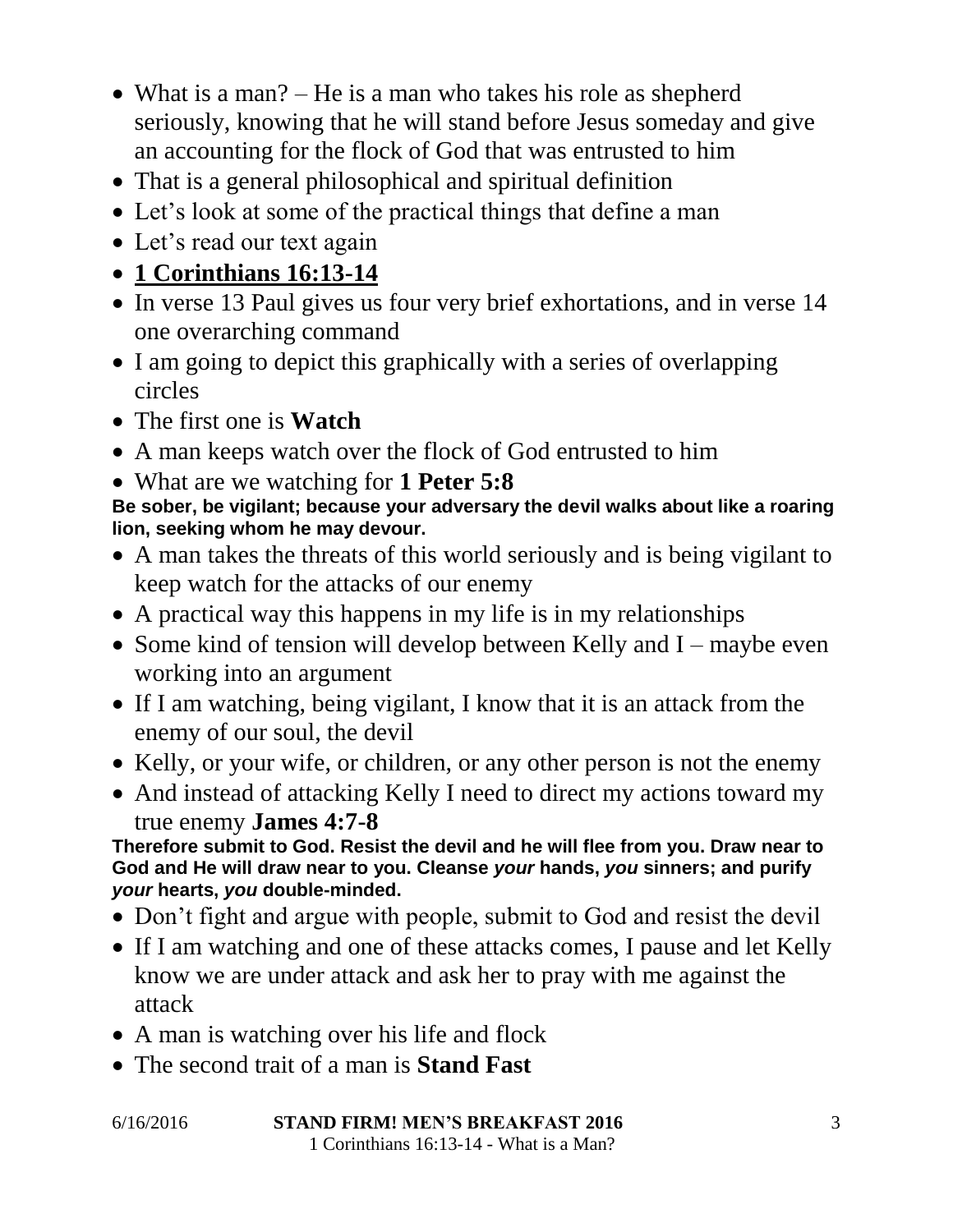- What is a man? He is a man who takes his role as shepherd seriously, knowing that he will stand before Jesus someday and give an accounting for the flock of God that was entrusted to him
- That is a general philosophical and spiritual definition
- Let's look at some of the practical things that define a man
- Let's read our text again
- **1 Corinthians 16:13-14**
- In verse 13 Paul gives us four very brief exhortations, and in verse 14 one overarching command
- I am going to depict this graphically with a series of overlapping circles
- The first one is **Watch**
- A man keeps watch over the flock of God entrusted to him
- What are we watching for **1 Peter 5:8**

#### **Be sober, be vigilant; because your adversary the devil walks about like a roaring lion, seeking whom he may devour.**

- A man takes the threats of this world seriously and is being vigilant to keep watch for the attacks of our enemy
- A practical way this happens in my life is in my relationships
- Some kind of tension will develop between Kelly and  $I$  maybe even working into an argument
- If I am watching, being vigilant, I know that it is an attack from the enemy of our soul, the devil
- Kelly, or your wife, or children, or any other person is not the enemy
- And instead of attacking Kelly I need to direct my actions toward my true enemy **James 4:7-8**

**Therefore submit to God. Resist the devil and he will flee from you. Draw near to God and He will draw near to you. Cleanse** *your* **hands,** *you* **sinners; and purify**  *your* **hearts,** *you* **double-minded.**

- Don't fight and argue with people, submit to God and resist the devil
- If I am watching and one of these attacks comes, I pause and let Kelly know we are under attack and ask her to pray with me against the attack
- A man is watching over his life and flock
- The second trait of a man is **Stand Fast**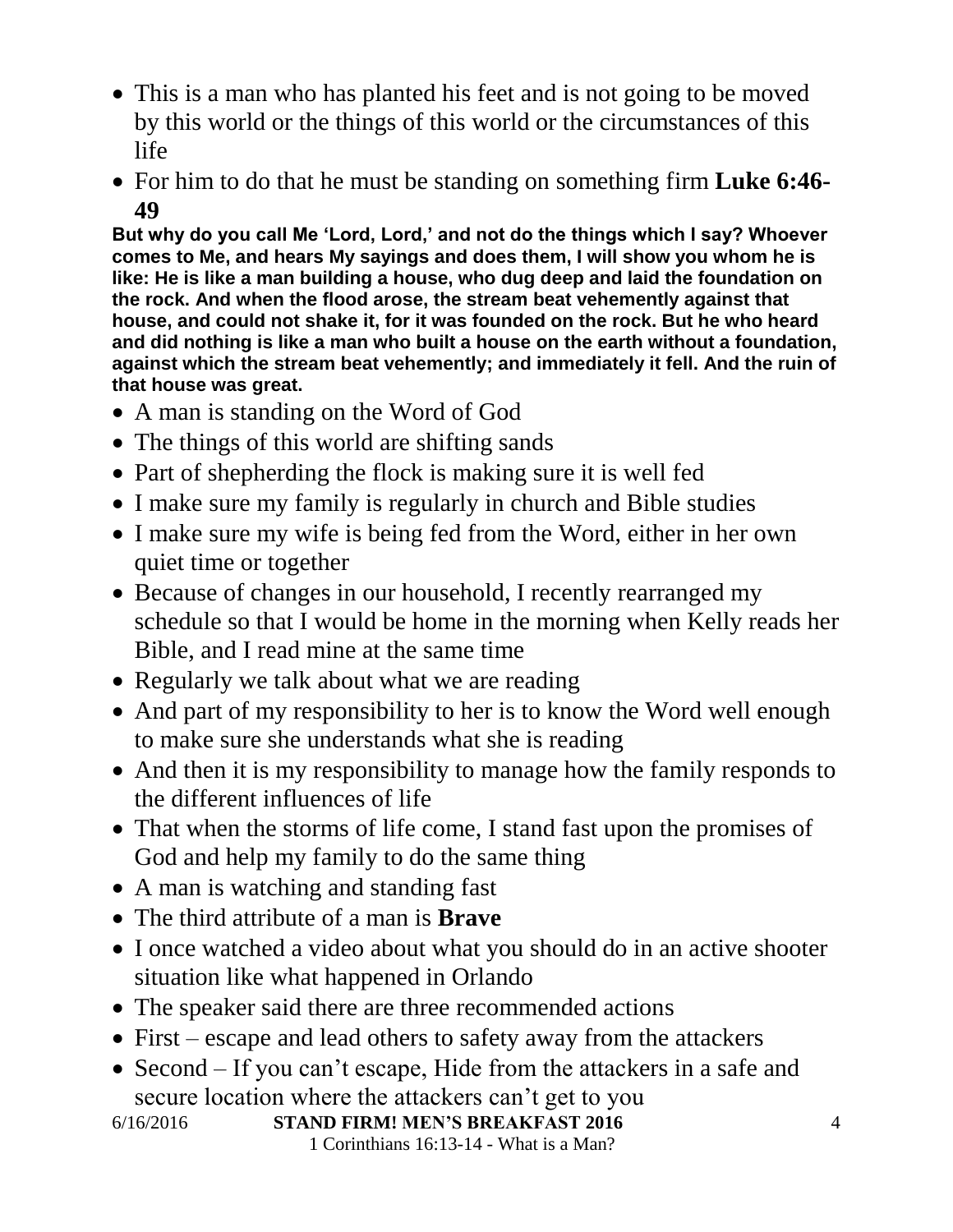- This is a man who has planted his feet and is not going to be moved by this world or the things of this world or the circumstances of this life
- For him to do that he must be standing on something firm **Luke 6:46- 49**

**But why do you call Me 'Lord, Lord,' and not do the things which I say? Whoever comes to Me, and hears My sayings and does them, I will show you whom he is like: He is like a man building a house, who dug deep and laid the foundation on the rock. And when the flood arose, the stream beat vehemently against that house, and could not shake it, for it was founded on the rock. But he who heard and did nothing is like a man who built a house on the earth without a foundation, against which the stream beat vehemently; and immediately it fell. And the ruin of that house was great.**

- A man is standing on the Word of God
- The things of this world are shifting sands
- Part of shepherding the flock is making sure it is well fed
- I make sure my family is regularly in church and Bible studies
- I make sure my wife is being fed from the Word, either in her own quiet time or together
- Because of changes in our household, I recently rearranged my schedule so that I would be home in the morning when Kelly reads her Bible, and I read mine at the same time
- Regularly we talk about what we are reading
- And part of my responsibility to her is to know the Word well enough to make sure she understands what she is reading
- And then it is my responsibility to manage how the family responds to the different influences of life
- That when the storms of life come, I stand fast upon the promises of God and help my family to do the same thing
- A man is watching and standing fast
- The third attribute of a man is **Brave**
- I once watched a video about what you should do in an active shooter situation like what happened in Orlando
- The speaker said there are three recommended actions
- First escape and lead others to safety away from the attackers
- Second If you can't escape, Hide from the attackers in a safe and secure location where the attackers can't get to you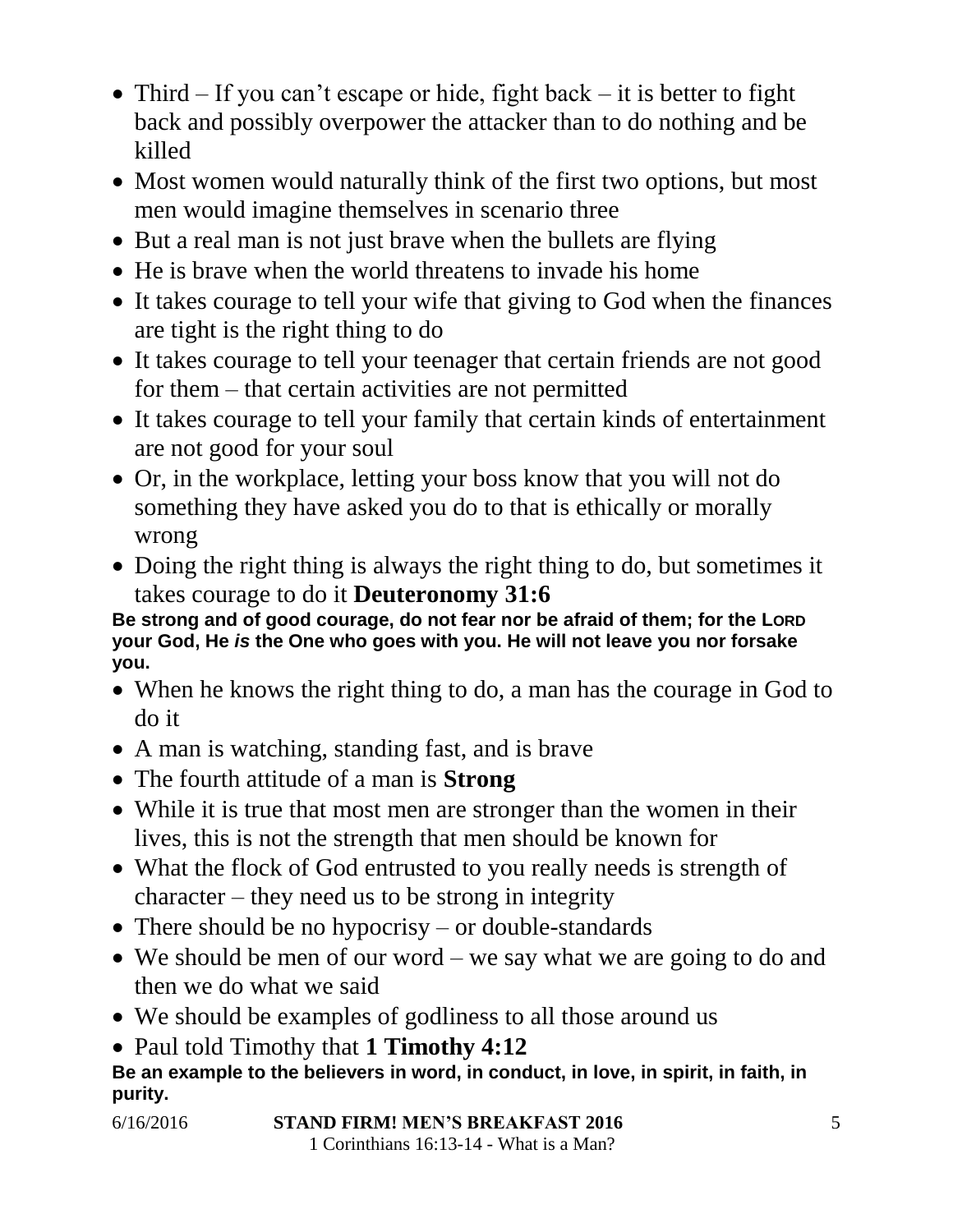- Third If you can't escape or hide, fight back it is better to fight back and possibly overpower the attacker than to do nothing and be killed
- Most women would naturally think of the first two options, but most men would imagine themselves in scenario three
- But a real man is not just brave when the bullets are flying
- He is brave when the world threatens to invade his home
- It takes courage to tell your wife that giving to God when the finances are tight is the right thing to do
- It takes courage to tell your teenager that certain friends are not good for them – that certain activities are not permitted
- It takes courage to tell your family that certain kinds of entertainment are not good for your soul
- Or, in the workplace, letting your boss know that you will not do something they have asked you do to that is ethically or morally wrong
- Doing the right thing is always the right thing to do, but sometimes it takes courage to do it **Deuteronomy 31:6**

**Be strong and of good courage, do not fear nor be afraid of them; for the LORD your God, He** *is* **the One who goes with you. He will not leave you nor forsake you.**

- When he knows the right thing to do, a man has the courage in God to do it
- A man is watching, standing fast, and is brave
- The fourth attitude of a man is **Strong**
- While it is true that most men are stronger than the women in their lives, this is not the strength that men should be known for
- What the flock of God entrusted to you really needs is strength of character – they need us to be strong in integrity
- There should be no hypocrisy or double-standards
- We should be men of our word we say what we are going to do and then we do what we said
- We should be examples of godliness to all those around us
- Paul told Timothy that **1 Timothy 4:12**

**Be an example to the believers in word, in conduct, in love, in spirit, in faith, in purity.**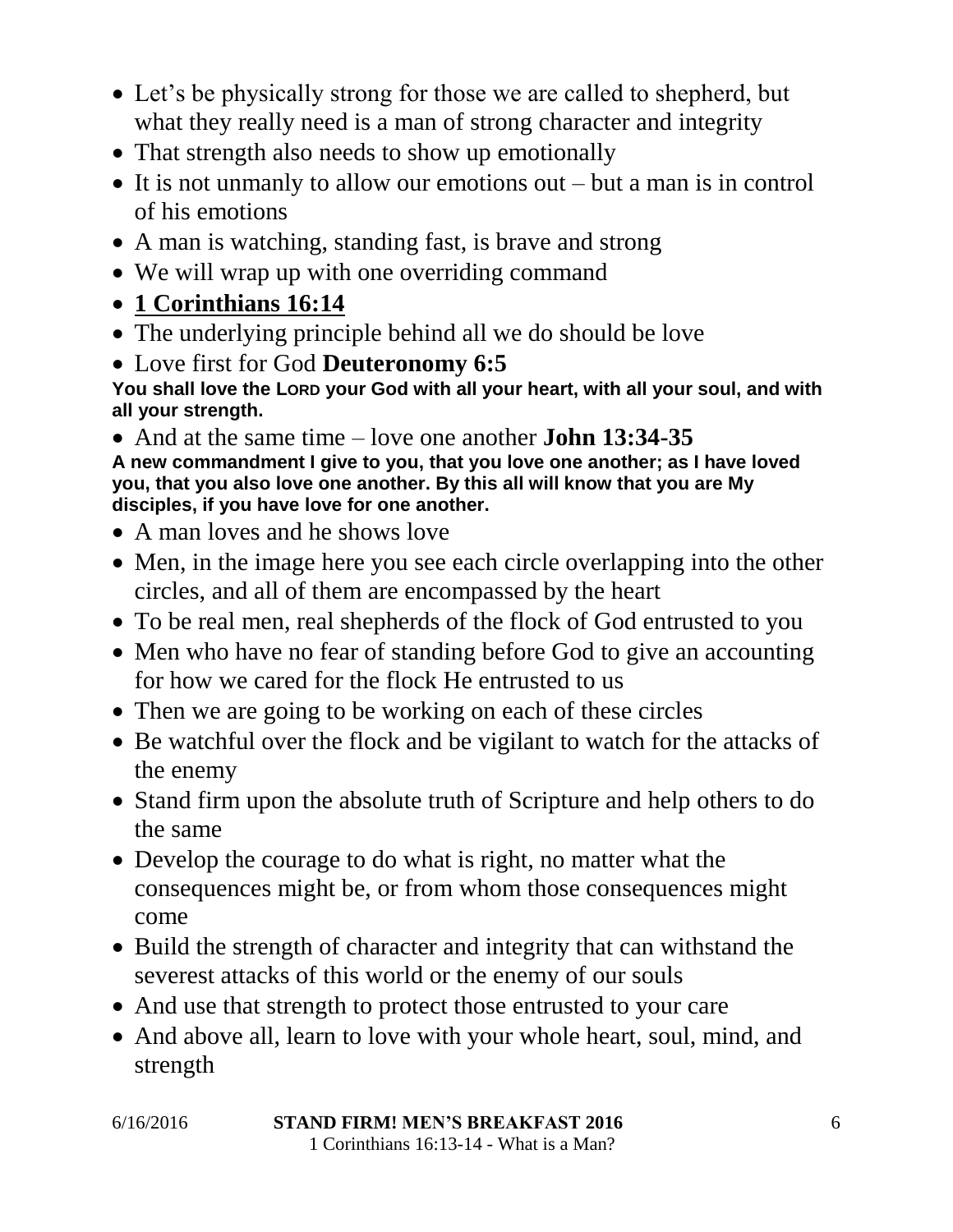- Let's be physically strong for those we are called to shepherd, but what they really need is a man of strong character and integrity
- That strength also needs to show up emotionally
- It is not unmanly to allow our emotions out but a man is in control of his emotions
- A man is watching, standing fast, is brave and strong
- We will wrap up with one overriding command
- **1 Corinthians 16:14**
- The underlying principle behind all we do should be love
- Love first for God **Deuteronomy 6:5**

**You shall love the LORD your God with all your heart, with all your soul, and with all your strength.**

 And at the same time – love one another **John 13:34-35 A new commandment I give to you, that you love one another; as I have loved you, that you also love one another. By this all will know that you are My disciples, if you have love for one another.**

- A man loves and he shows love
- Men, in the image here you see each circle overlapping into the other circles, and all of them are encompassed by the heart
- To be real men, real shepherds of the flock of God entrusted to you
- Men who have no fear of standing before God to give an accounting for how we cared for the flock He entrusted to us
- Then we are going to be working on each of these circles
- Be watchful over the flock and be vigilant to watch for the attacks of the enemy
- Stand firm upon the absolute truth of Scripture and help others to do the same
- Develop the courage to do what is right, no matter what the consequences might be, or from whom those consequences might come
- Build the strength of character and integrity that can withstand the severest attacks of this world or the enemy of our souls
- And use that strength to protect those entrusted to your care
- And above all, learn to love with your whole heart, soul, mind, and strength